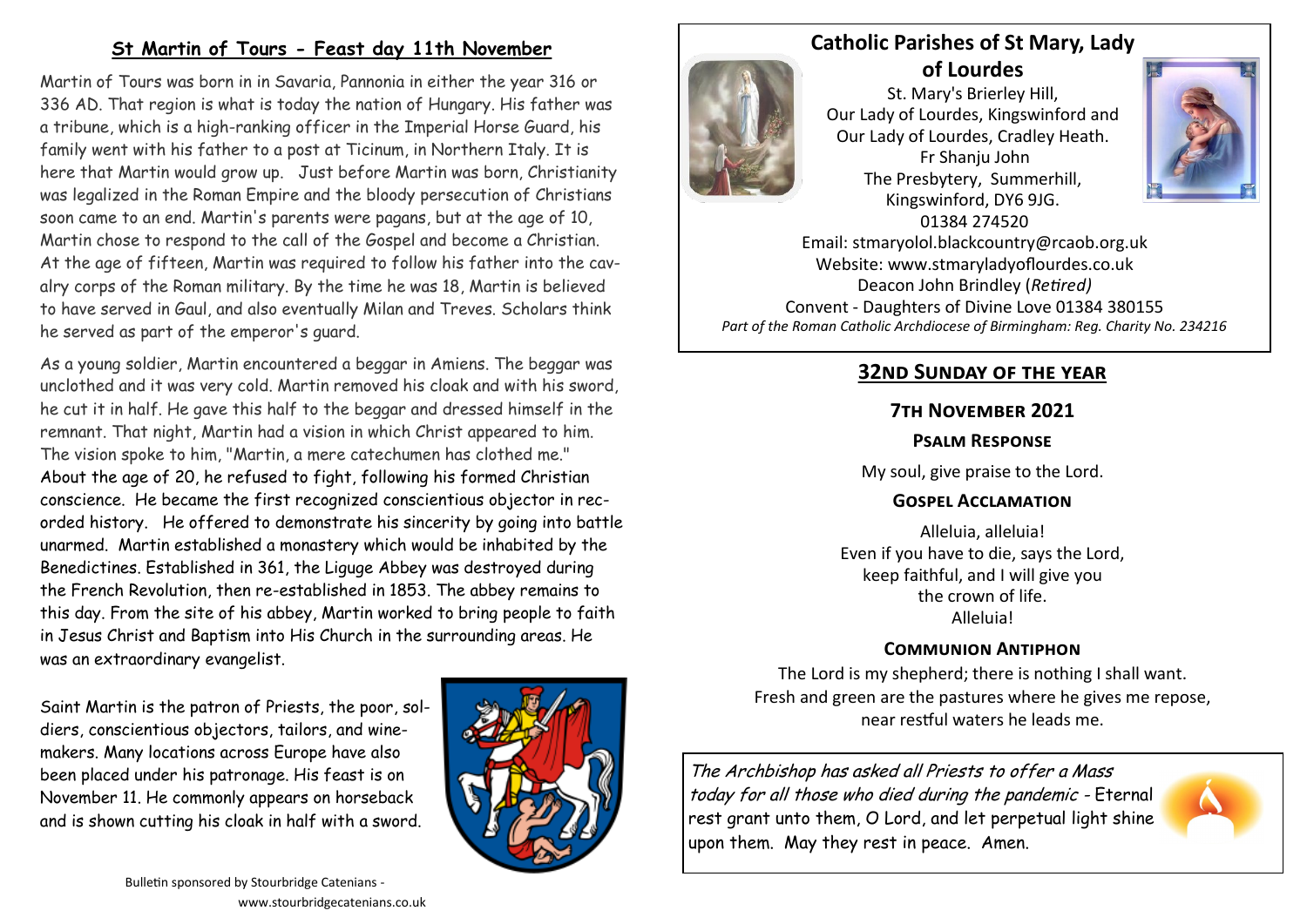### **St Martin of Tours - Feast day 11th November**

Martin of Tours was born in in Savaria, Pannonia in either the year 316 or 336 AD. That region is what is today the nation of Hungary. His father was a tribune, which is a high-ranking officer in the Imperial Horse Guard, his family went with his father to a post at Ticinum, in Northern Italy. It is here that Martin would grow up. Just before Martin was born, Christianity was legalized in the Roman Empire and the bloody persecution of Christians soon came to an end. Martin's parents were pagans, but at the age of 10, Martin chose to respond to the call of the Gospel and become a Christian. At the age of fifteen, Martin was required to follow his father into the cavalry corps of the Roman military. By the time he was 18, Martin is believed to have served in Gaul, and also eventually Milan and Treves. Scholars think he served as part of the emperor's guard.

As a young soldier, Martin encountered a beggar in Amiens. The beggar was unclothed and it was very cold. Martin removed his cloak and with his sword, he cut it in half. He gave this half to the beggar and dressed himself in the remnant. That night, Martin had a vision in which Christ appeared to him. The vision spoke to him, "Martin, a mere catechumen has clothed me." About the age of 20, he refused to fight, following his formed Christian conscience. He became the first recognized conscientious objector in recorded history. He offered to demonstrate his sincerity by going into battle unarmed. Martin established a monastery which would be inhabited by the Benedictines. Established in 361, the Liguge Abbey was destroyed during the French Revolution, then re-established in 1853. The abbey remains to this day. From the site of his abbey, Martin worked to bring people to faith in Jesus Christ and Baptism into His Church in the surrounding areas. He was an extraordinary evangelist.

Saint Martin is the patron of Priests, the poor, soldiers, conscientious objectors, tailors, and winemakers. Many locations across Europe have also been placed under his patronage. His feast is on November 11. He commonly appears on horseback and is shown cutting his cloak in half with a sword.





**Catholic Parishes of St Mary, Lady of Lourdes** 

St. Mary's Brierley Hill, Our Lady of Lourdes, Kingswinford and Our Lady of Lourdes, Cradley Heath. Fr Shanju John The Presbytery, Summerhill, Kingswinford, DY6 9JG. 01384 274520



Email: stmaryolol.blackcountry@rcaob.org.uk Website: www.stmaryladyoflourdes.co.uk Deacon John Brindley (*Retired)* Convent - Daughters of Divine Love 01384 380155 *Part of the Roman Catholic Archdiocese of Birmingham: Reg. Charity No. 234216*

# **32nd Sunday of the year**

## **7th November 2021**

#### **Psalm Response**

My soul, give praise to the Lord.

### **Gospel Acclamation**

Alleluia, alleluia! Even if you have to die, says the Lord, keep faithful, and I will give you the crown of life. Alleluia!

## **Communion Antiphon**

The Lord is my shepherd; there is nothing I shall want. Fresh and green are the pastures where he gives me repose, near restful waters he leads me.

The Archbishop has asked all Priests to offer a Mass today for all those who died during the pandemic - Eternal rest grant unto them, O Lord, and let perpetual light shine upon them. May they rest in peace. Amen.